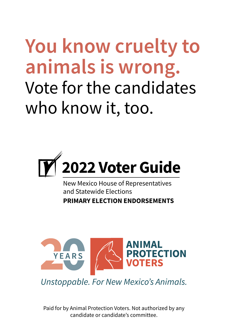**You know cruelty to animals is wrong.** Vote for the candidates who know it, too.



New Mexico House of Representatives and Statewide Elections **PRIMARY ELECTION ENDORSEMENTS**



Unstoppable. For New Mexico's Animals.

Paid for by Animal Protection Voters. Not authorized by any candidate or candidate's committee.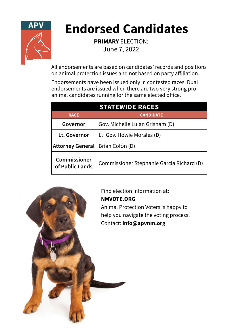

## **Endorsed Candidates**

**PRIMARY** ELECTION: June 7, 2022

All endorsements are based on candidates' records and positions on animal protection issues and not based on party affiliation.

Endorsements have been issued only in contested races. Dual endorsements are issued when there are two very strong proanimal candidates running for the same elected office.

| <b>STATEWIDE RACES</b>          |                                           |  |
|---------------------------------|-------------------------------------------|--|
| <b>RACE</b>                     | <b>CANDIDATE</b>                          |  |
| Governor                        | Gov. Michelle Lujan Grisham (D)           |  |
| Lt. Governor                    | Lt. Gov. Howie Morales (D)                |  |
| Attorney General                | Brian Colón (D)                           |  |
| Commissioner<br>of Public Lands | Commissioner Stephanie Garcia Richard (D) |  |